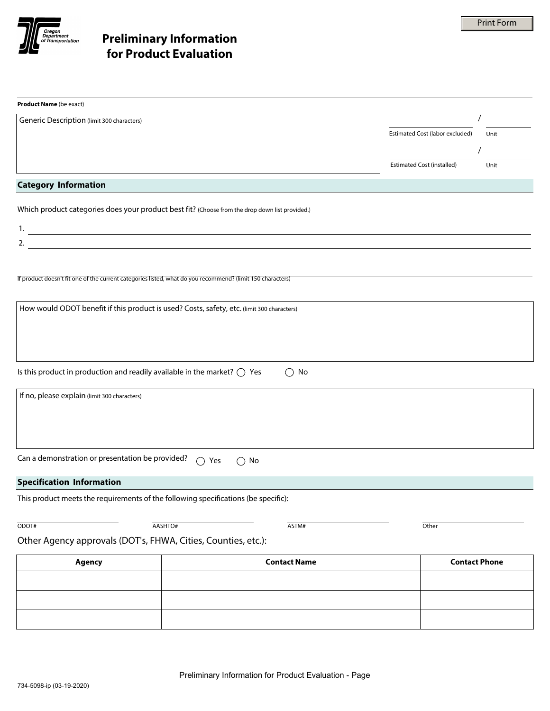

| <b>Product Name</b> (be exact)                                                                                             |                                |                                           |
|----------------------------------------------------------------------------------------------------------------------------|--------------------------------|-------------------------------------------|
| Generic Description (limit 300 characters)                                                                                 |                                |                                           |
|                                                                                                                            |                                | Estimated Cost (labor excluded)<br>Unit   |
|                                                                                                                            |                                |                                           |
|                                                                                                                            |                                | <b>Estimated Cost (installed)</b><br>Unit |
|                                                                                                                            |                                |                                           |
| <b>Category Information</b>                                                                                                |                                |                                           |
| Which product categories does your product best fit? (Choose from the drop down list provided.)                            |                                |                                           |
| 1.                                                                                                                         |                                | $\blacktriangledown$                      |
| <u> 1989 - Johann Stein, synsk politik foar de oarnamme fan it ferstjer fan de oarnamme fan it ferstjer fan de o</u><br>2. |                                | $\blacktriangleright$                     |
|                                                                                                                            |                                |                                           |
|                                                                                                                            |                                |                                           |
| If product doesn't fit one of the current categories listed, what do you recommend? (limit 150 characters)                 |                                |                                           |
|                                                                                                                            |                                |                                           |
| How would ODOT benefit if this product is used? Costs, safety, etc. (limit 300 characters)                                 |                                |                                           |
|                                                                                                                            |                                |                                           |
|                                                                                                                            |                                |                                           |
|                                                                                                                            |                                |                                           |
|                                                                                                                            |                                |                                           |
| Is this product in production and readily available in the market? $\bigcirc$ Yes                                          | No<br>◯                        |                                           |
| If no, please explain (limit 300 characters)                                                                               |                                |                                           |
|                                                                                                                            |                                |                                           |
|                                                                                                                            |                                |                                           |
|                                                                                                                            |                                |                                           |
|                                                                                                                            |                                |                                           |
| Can a demonstration or presentation be provided?                                                                           | $\bigcap$ Yes<br>$\bigcirc$ No |                                           |
|                                                                                                                            |                                |                                           |
| <b>Specification Information</b>                                                                                           |                                |                                           |
| This product meets the requirements of the following specifications (be specific):                                         |                                |                                           |
|                                                                                                                            |                                |                                           |
| ODOT#                                                                                                                      | AASHTO#<br>ASTM#               | Other                                     |
| Other Agency approvals (DOT's, FHWA, Cities, Counties, etc.):                                                              |                                |                                           |
| Agency                                                                                                                     | <b>Contact Name</b>            | <b>Contact Phone</b>                      |
|                                                                                                                            |                                |                                           |
|                                                                                                                            |                                |                                           |
|                                                                                                                            |                                |                                           |
|                                                                                                                            |                                |                                           |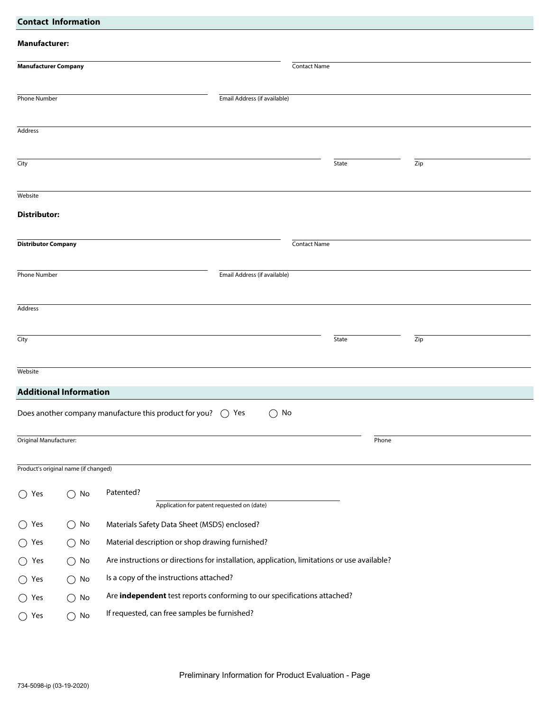| <b>Contact Information</b>           |                                                                                                                               |  |  |  |
|--------------------------------------|-------------------------------------------------------------------------------------------------------------------------------|--|--|--|
| <b>Manufacturer:</b>                 |                                                                                                                               |  |  |  |
| <b>Manufacturer Company</b>          | <b>Contact Name</b>                                                                                                           |  |  |  |
| <b>Phone Number</b>                  | Email Address (if available)                                                                                                  |  |  |  |
| Address                              |                                                                                                                               |  |  |  |
| City                                 | Zip<br>State                                                                                                                  |  |  |  |
| Website                              |                                                                                                                               |  |  |  |
| <b>Distributor:</b>                  |                                                                                                                               |  |  |  |
| <b>Distributor Company</b>           | <b>Contact Name</b>                                                                                                           |  |  |  |
|                                      |                                                                                                                               |  |  |  |
| <b>Phone Number</b>                  | Email Address (if available)                                                                                                  |  |  |  |
| Address                              |                                                                                                                               |  |  |  |
|                                      |                                                                                                                               |  |  |  |
| City                                 | State<br>Zip                                                                                                                  |  |  |  |
| Website                              |                                                                                                                               |  |  |  |
| <b>Additional Information</b>        |                                                                                                                               |  |  |  |
|                                      | Does another company manufacture this product for you?<br>$\bigcirc$ Yes<br>No<br>$\left(\begin{array}{c} \end{array}\right)$ |  |  |  |
| Original Manufacturer:               | Phone                                                                                                                         |  |  |  |
| Product's original name (if changed) |                                                                                                                               |  |  |  |
| No<br>$\bigcirc$ Yes<br>( )          | Patented?<br>Application for patent requested on (date)                                                                       |  |  |  |
| $\bigcirc$ Yes<br>$\bigcirc$ No      | Materials Safety Data Sheet (MSDS) enclosed?                                                                                  |  |  |  |
| $\bigcirc$ Yes<br>$\bigcirc$ No      | Material description or shop drawing furnished?                                                                               |  |  |  |
| $\bigcirc$ No<br>$\bigcirc$ Yes      | Are instructions or directions for installation, application, limitations or use available?                                   |  |  |  |
| No<br>$\bigcirc$ Yes<br>( )          | Is a copy of the instructions attached?                                                                                       |  |  |  |
| $\bigcirc$ Yes<br>No<br>( )          | Are independent test reports conforming to our specifications attached?                                                       |  |  |  |
| $\bigcirc$ Yes<br>$\bigcirc$ No      | If requested, can free samples be furnished?                                                                                  |  |  |  |